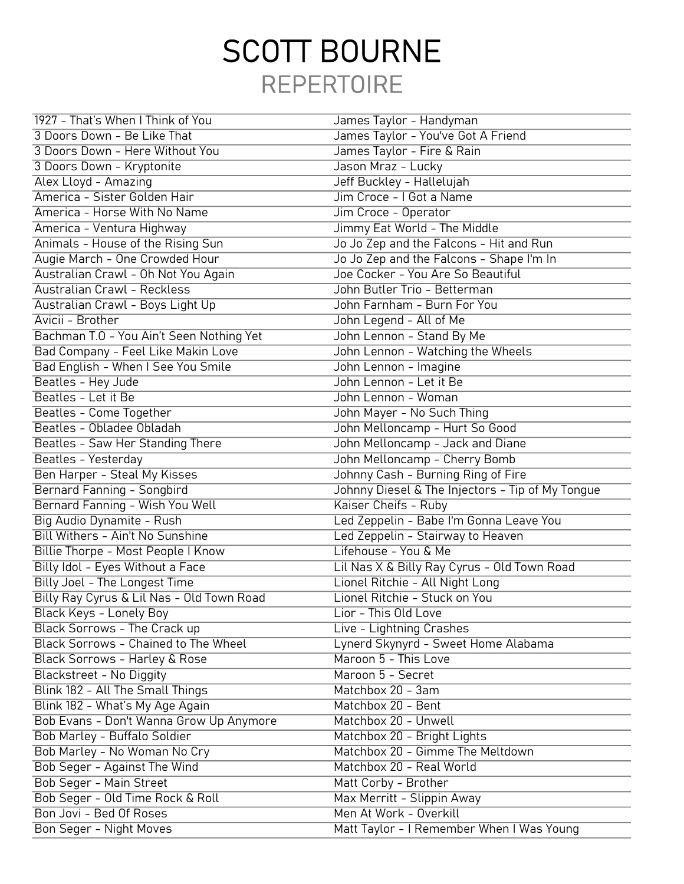## REPERTOIRE SCOTT BOURNE

| 1927 - That's When I Think of You         | James Taylor - Handyman                          |
|-------------------------------------------|--------------------------------------------------|
| 3 Doors Down - Be Like That               | James Taylor - You've Got A Friend               |
| 3 Doors Down - Here Without You           | James Taylor - Fire & Rain                       |
| 3 Doors Down - Kryptonite                 | Jason Mraz - Lucky                               |
| Alex Lloyd - Amazing                      | Jeff Buckley - Hallelujah                        |
| America - Sister Golden Hair              | Jim Croce - I Got a Name                         |
| America - Horse With No Name              | Jim Croce - Operator                             |
| America - Ventura Highway                 | Jimmy Eat World - The Middle                     |
| Animals - House of the Rising Sun         | Jo Jo Zep and the Falcons - Hit and Run          |
| Augie March - One Crowded Hour            | Jo Jo Zep and the Falcons - Shape I'm In         |
| Australian Crawl - Oh Not You Again       | Joe Cocker - You Are So Beautiful                |
| <b>Australian Crawl - Reckless</b>        | John Butler Trio - Betterman                     |
| Australian Crawl - Boys Light Up          | John Farnham - Burn For You                      |
| Avicii - Brother                          | John Legend - All of Me                          |
| Bachman T.O - You Ain't Seen Nothing Yet  | John Lennon - Stand By Me                        |
| Bad Company - Feel Like Makin Love        | John Lennon - Watching the Wheels                |
| Bad English - When I See You Smile        | John Lennon - Imagine                            |
| Beatles - Hey Jude                        | John Lennon - Let it Be                          |
| Beatles - Let it Be                       | John Lennon - Woman                              |
| Beatles - Come Together                   | John Mayer - No Such Thing                       |
| Beatles - Obladee Obladah                 | John Melloncamp - Hurt So Good                   |
| Beatles - Saw Her Standing There          | John Melloncamp - Jack and Diane                 |
| Beatles - Yesterday                       | John Melloncamp - Cherry Bomb                    |
| Ben Harper - Steal My Kisses              | Johnny Cash - Burning Ring of Fire               |
| <b>Bernard Fanning - Songbird</b>         | Johnny Diesel & The Injectors - Tip of My Tongue |
| Bernard Fanning - Wish You Well           | Kaiser Cheifs - Ruby                             |
| Big Audio Dynamite - Rush                 | Led Zeppelin - Babe I'm Gonna Leave You          |
| Bill Withers - Ain't No Sunshine          | Led Zeppelin - Stairway to Heaven                |
| Billie Thorpe - Most People I Know        | Lifehouse - You & Me                             |
| Billy Idol - Eyes Without a Face          | Lil Nas X & Billy Ray Cyrus - Old Town Road      |
| Billy Joel - The Longest Time             | Lionel Ritchie - All Night Long                  |
| Billy Ray Cyrus & Lil Nas - Old Town Road | Lionel Ritchie - Stuck on You                    |
| Black Keys - Lonely Boy                   | Lior - This Old Love                             |
| Black Sorrows - The Crack up              | Live - Lightning Crashes                         |
| Black Sorrows - Chained to The Wheel      | Lynerd Skynyrd - Sweet Home Alabama              |
| Black Sorrows - Harley & Rose             | Maroon 5 - This Love                             |
| Blackstreet - No Diggity                  | Maroon 5 - Secret                                |
| Blink 182 - All The Small Things          | Matchbox 20 - 3am                                |
| Blink 182 - What's My Age Again           | Matchbox 20 - Bent                               |
| Bob Evans - Don't Wanna Grow Up Anymore   | Matchbox 20 - Unwell                             |
| Bob Marley - Buffalo Soldier              | Matchbox 20 - Bright Lights                      |
| Bob Marley - No Woman No Cry              | Matchbox 20 - Gimme The Meltdown                 |
| Bob Seger - Against The Wind              | Matchbox 20 - Real World                         |
| Bob Seger - Main Street                   | Matt Corby - Brother                             |
| Bob Seger - Old Time Rock & Roll          | Max Merritt - Slippin Away                       |
| Bon Jovi - Bed Of Roses                   | Men At Work - Overkill                           |
| Bon Seger - Night Moves                   | Matt Taylor - I Remember When I Was Young        |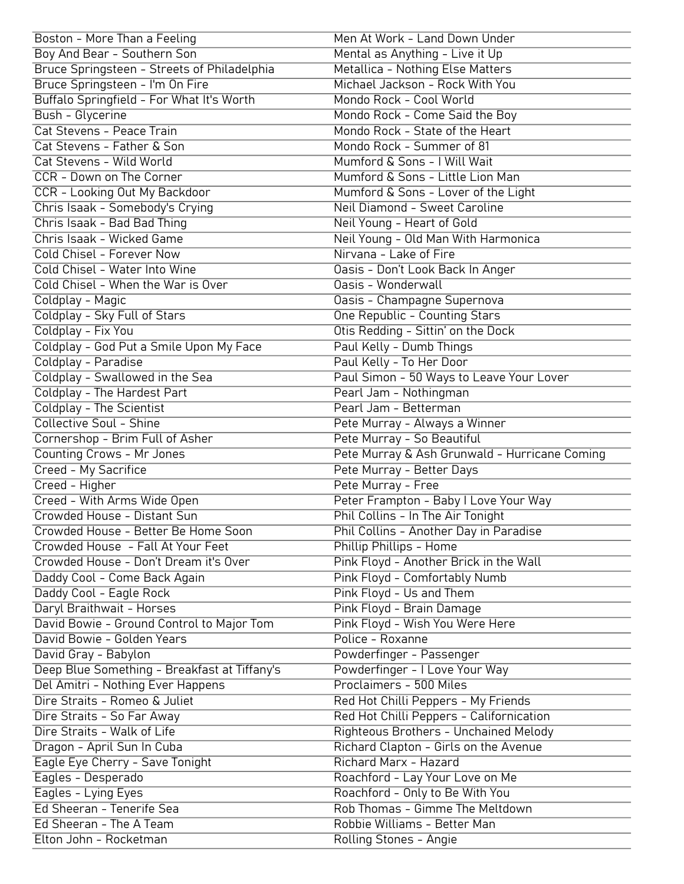| Boston - More Than a Feeling                              | Men At Work - Land Down Under                                                     |
|-----------------------------------------------------------|-----------------------------------------------------------------------------------|
| Boy And Bear - Southern Son                               | Mental as Anything - Live it Up                                                   |
| Bruce Springsteen - Streets of Philadelphia               | Metallica - Nothing Else Matters                                                  |
| Bruce Springsteen - I'm On Fire                           | Michael Jackson - Rock With You                                                   |
| Buffalo Springfield - For What It's Worth                 | Mondo Rock - Cool World                                                           |
| <b>Bush - Glycerine</b>                                   | Mondo Rock - Come Said the Boy                                                    |
| Cat Stevens - Peace Train                                 | Mondo Rock - State of the Heart                                                   |
| Cat Stevens - Father & Son                                | Mondo Rock - Summer of 81                                                         |
| Cat Stevens - Wild World                                  | Mumford & Sons - I Will Wait                                                      |
| CCR - Down on The Corner                                  | Mumford & Sons - Little Lion Man                                                  |
| CCR - Looking Out My Backdoor                             | Mumford & Sons - Lover of the Light                                               |
| Chris Isaak - Somebody's Crying                           | Neil Diamond - Sweet Caroline                                                     |
| Chris Isaak - Bad Bad Thing                               | Neil Young - Heart of Gold                                                        |
| Chris Isaak - Wicked Game                                 | Neil Young - Old Man With Harmonica                                               |
| Cold Chisel - Forever Now                                 | Nirvana - Lake of Fire                                                            |
| Cold Chisel - Water Into Wine                             | Oasis - Don't Look Back In Anger                                                  |
| Cold Chisel - When the War is Over                        | Oasis - Wonderwall                                                                |
| Coldplay - Magic                                          | Oasis - Champagne Supernova                                                       |
| Coldplay - Sky Full of Stars                              | <b>One Republic - Counting Stars</b>                                              |
| Coldplay - Fix You                                        | Otis Redding - Sittin' on the Dock                                                |
| Coldplay - God Put a Smile Upon My Face                   | Paul Kelly - Dumb Things                                                          |
| Coldplay - Paradise                                       | Paul Kelly - To Her Door                                                          |
| Coldplay - Swallowed in the Sea                           | Paul Simon - 50 Ways to Leave Your Lover                                          |
| Coldplay - The Hardest Part                               | Pearl Jam - Nothingman                                                            |
| Coldplay - The Scientist                                  | Pearl Jam - Betterman                                                             |
| <b>Collective Soul - Shine</b>                            | Pete Murray - Always a Winner                                                     |
| Cornershop - Brim Full of Asher                           | Pete Murray - So Beautiful                                                        |
| <b>Counting Crows - Mr Jones</b>                          | Pete Murray & Ash Grunwald - Hurricane Coming                                     |
| Creed - My Sacrifice                                      | Pete Murray - Better Days                                                         |
| Creed - Higher                                            | Pete Murray - Free                                                                |
| Creed - With Arms Wide Open                               | Peter Frampton - Baby I Love Your Way                                             |
| Crowded House - Distant Sun                               | Phil Collins - In The Air Tonight                                                 |
| Crowded House - Better Be Home Soon                       | Phil Collins - Another Day in Paradise                                            |
| Crowded House - Fall At Your Feet                         | Phillip Phillips - Home                                                           |
| Crowded House - Don't Dream it's Over                     | Pink Floyd - Another Brick in the Wall                                            |
| Daddy Cool - Come Back Again                              | Pink Floyd - Comfortably Numb                                                     |
| Daddy Cool - Eagle Rock                                   | Pink Floyd - Us and Them                                                          |
| Daryl Braithwait - Horses                                 | Pink Floyd - Brain Damage                                                         |
| David Bowie - Ground Control to Major Tom                 | Pink Floyd - Wish You Were Here                                                   |
| David Bowie - Golden Years                                | Police - Roxanne                                                                  |
| David Gray - Babylon                                      | Powderfinger - Passenger                                                          |
| Deep Blue Something - Breakfast at Tiffany's              | Powderfinger - I Love Your Way                                                    |
| Del Amitri - Nothing Ever Happens                         | Proclaimers - 500 Miles                                                           |
| Dire Straits - Romeo & Juliet                             | Red Hot Chilli Peppers - My Friends                                               |
|                                                           |                                                                                   |
| Dire Straits - So Far Away<br>Dire Straits - Walk of Life | Red Hot Chilli Peppers - Californication<br>Righteous Brothers - Unchained Melody |
|                                                           |                                                                                   |
| Dragon - April Sun In Cuba                                | Richard Clapton - Girls on the Avenue<br>Richard Marx - Hazard                    |
| Eagle Eye Cherry - Save Tonight<br>Eagles - Desperado     | Roachford - Lay Your Love on Me                                                   |
| Eagles - Lying Eyes                                       | Roachford - Only to Be With You                                                   |
| Ed Sheeran - Tenerife Sea                                 | Rob Thomas - Gimme The Meltdown                                                   |
| Ed Sheeran - The A Team                                   | Robbie Williams - Better Man                                                      |
|                                                           |                                                                                   |
| Elton John - Rocketman                                    | Rolling Stones - Angie                                                            |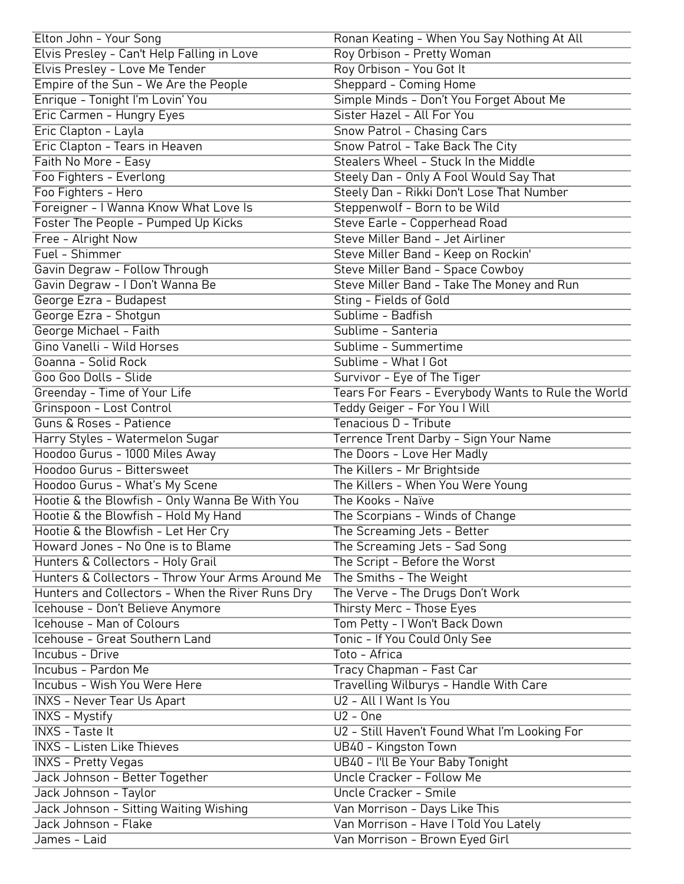| Elton John - Your Song                                         | Ronan Keating - When You Say Nothing At All                      |
|----------------------------------------------------------------|------------------------------------------------------------------|
| Elvis Presley - Can't Help Falling in Love                     | Roy Orbison - Pretty Woman                                       |
| Elvis Presley - Love Me Tender                                 | Roy Orbison - You Got It                                         |
| Empire of the Sun - We Are the People                          | Sheppard - Coming Home                                           |
| Enrique - Tonight I'm Lovin' You                               | Simple Minds - Don't You Forget About Me                         |
| Eric Carmen - Hungry Eyes                                      | Sister Hazel - All For You                                       |
| Eric Clapton - Layla                                           | <b>Snow Patrol - Chasing Cars</b>                                |
| Eric Clapton - Tears in Heaven                                 | Snow Patrol - Take Back The City                                 |
| Faith No More - Easy                                           | Stealers Wheel - Stuck In the Middle                             |
| Foo Fighters - Everlong                                        | Steely Dan - Only A Fool Would Say That                          |
| Foo Fighters - Hero                                            | Steely Dan - Rikki Don't Lose That Number                        |
| Foreigner - I Wanna Know What Love Is                          | Steppenwolf - Born to be Wild                                    |
| Foster The People - Pumped Up Kicks                            | Steve Earle - Copperhead Road                                    |
| Free - Alright Now                                             | Steve Miller Band - Jet Airliner                                 |
| Fuel - Shimmer                                                 | Steve Miller Band - Keep on Rockin'                              |
| Gavin Degraw - Follow Through                                  | Steve Miller Band - Space Cowboy                                 |
| Gavin Degraw - I Don't Wanna Be                                | Steve Miller Band - Take The Money and Run                       |
| George Ezra - Budapest                                         | Sting - Fields of Gold                                           |
| George Ezra - Shotgun                                          | Sublime - Badfish                                                |
| George Michael - Faith                                         | Sublime - Santeria                                               |
| Gino Vanelli - Wild Horses                                     | Sublime - Summertime                                             |
| Goanna - Solid Rock                                            | Sublime - What I Got                                             |
| Goo Goo Dolls - Slide                                          | Survivor - Eye of The Tiger                                      |
| Greenday - Time of Your Life                                   | Tears For Fears - Everybody Wants to Rule the World              |
| Grinspoon - Lost Control                                       | Teddy Geiger - For You I Will                                    |
| <b>Guns &amp; Roses - Patience</b>                             | Tenacious D - Tribute                                            |
| Harry Styles - Watermelon Sugar                                | Terrence Trent Darby - Sign Your Name                            |
| Hoodoo Gurus - 1000 Miles Away                                 | The Doors - Love Her Madly                                       |
| Hoodoo Gurus - Bittersweet                                     | The Killers - Mr Brightside                                      |
| Hoodoo Gurus - What's My Scene                                 | The Killers - When You Were Young                                |
| Hootie & the Blowfish - Only Wanna Be With You                 | The Kooks - Naïve                                                |
| Hootie & the Blowfish - Hold My Hand                           | The Scorpians - Winds of Change                                  |
| Hootie & the Blowfish - Let Her Cry                            | The Screaming Jets - Better                                      |
| Howard Jones - No One is to Blame                              | The Screaming Jets - Sad Song                                    |
| Hunters & Collectors - Holy Grail                              | The Script - Before the Worst                                    |
| Hunters & Collectors - Throw Your Arms Around Me               | The Smiths - The Weight                                          |
| Hunters and Collectors - When the River Runs Dry               | The Verve - The Drugs Don't Work                                 |
| Icehouse - Don't Believe Anymore                               | Thirsty Merc - Those Eyes                                        |
| Icehouse - Man of Colours                                      | Tom Petty - I Won't Back Down                                    |
| Icehouse - Great Southern Land                                 | Tonic - If You Could Only See                                    |
| Incubus - Drive                                                | Toto - Africa                                                    |
| Incubus - Pardon Me                                            | Tracy Chapman - Fast Car                                         |
| <b>Incubus - Wish You Were Here</b>                            |                                                                  |
|                                                                | Travelling Wilburys - Handle With Care<br>U2 - All I Want Is You |
| <b>INXS - Never Tear Us Apart</b>                              |                                                                  |
| <b>INXS - Mystify</b>                                          | $U2 - One$                                                       |
| <b>INXS - Taste It</b>                                         | U2 - Still Haven't Found What I'm Looking For                    |
| <b>INXS - Listen Like Thieves</b>                              | UB40 - Kingston Town                                             |
| <b>INXS - Pretty Vegas</b>                                     | UB40 - I'll Be Your Baby Tonight<br>Uncle Cracker - Follow Me    |
| Jack Johnson - Better Together                                 | Uncle Cracker - Smile                                            |
| Jack Johnson - Taylor                                          |                                                                  |
| Jack Johnson - Sitting Waiting Wishing<br>Jack Johnson - Flake | Van Morrison - Days Like This                                    |
|                                                                | Van Morrison - Have I Told You Lately                            |
| James - Laid                                                   | Van Morrison - Brown Eyed Girl                                   |